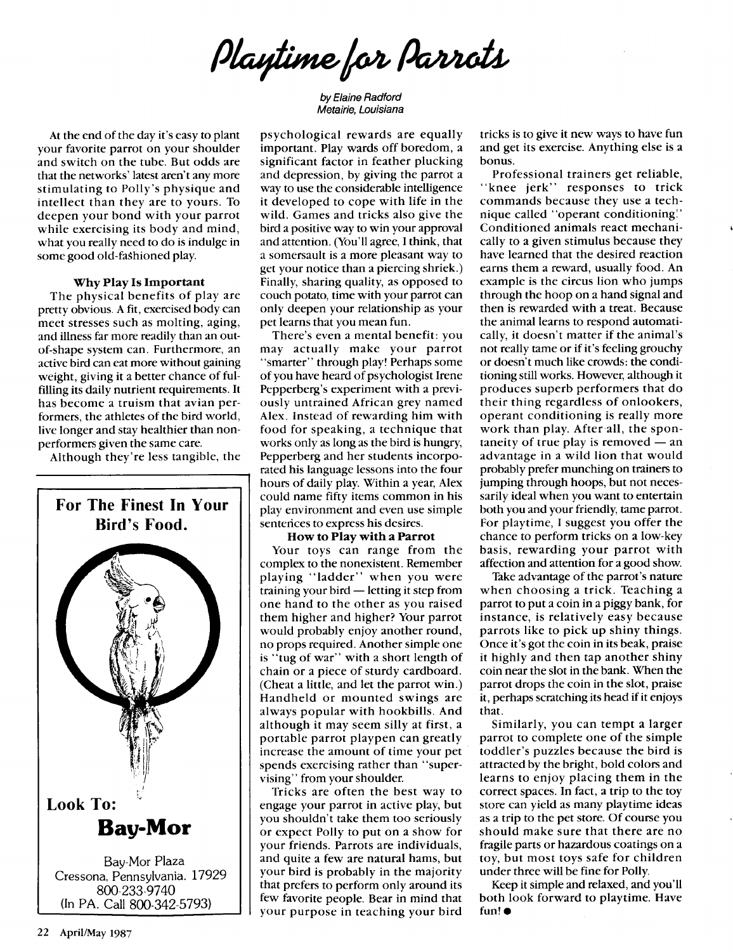Playtime for Parrots

by Elaine Radford Metairie, Louisiana

At the end of the day it's easy to plant your favorite parrot on your shoulder and switch on the tube. But odds are that the networks' latest aren't any more stimulating to Polly's physique and intellect than they are to yours. To deepen your bond with your parrot while exercising its body and mind, what you really need to do is indulge in some good old-fashioned play.

## Why Play Is Important

The physical benefits of play are pretty obvious. A fit, exercised body can meet stresses such as molting, aging, and illness far more readily than an outof-shape system can. Furthermore, an active bird can eat more without gaining weight, giving it a better chance of fulfilling its daily nutrient requirements. It has become a truism that avian performers, the athletes of the bird world, live longer and stay healthier than nonperformers given the same care.

Although they're less tangible, the



psychological rewards are equally important. Play wards off boredom, a significant factor in feather plucking and depression, by giving the parrot a way to use the considerable intelligence it developed to cope with life in the wild. Games and tricks also give the bird a positive way to win your approval and attention. (You'll agree, I think, that a somersault is a more pleasant way to get your notice than a piercing shriek.) Finally, sharing quality, as opposed to couch potato, time with your parrot can only deepen your relationship as your pet learns that you mean fun.

There's even a mental benefit: you may actually make your parrot "smarter" through play! Perhaps some of you have heard of psychologist Irene Pepperberg's experiment with a previously untrained African grey named Alex. Instead of rewarding him with food for speaking, a technique that works only as long as the bird is hungry, Pepperberg and her students incorporated his language lessons into the four hours of daily play. Within a year, Alex could name fifty items common in his play environment and even use simple senterices to express his desires.

## How to Play with a Parrot

Your toys can range from the complex to the nonexistent. Remember playing "ladder" when you were training your bird  $-$  letting it step from one hand to the other as you raised them higher and higher? Your parrot would probably enjoy another round, no props required. Another simple one is "tug of war" with a short length of chain or a piece of sturdy cardboard. (Cheat a little, and let the parrot win.) Handheld or mounted swings are always popular with hookbills. And although it may seem silly at first, a portable parrot playpen can greatly increase the amount of time your pet spends exercising rather than "supervising" from your shoulder.

Tricks are often the best way to engage your parrot in active play, but you shouldn't take them too seriously or expect Polly to put on a show for your friends. Parrots are individuals, and quite a few are natural hams, but your bird is probably in the majority that prefers to perform only around its few favorite people. Bear in mind that your purpose in teaching your bird tricks is to give it new ways to have fun and get its exercise. Anything else is a bonus.

Professional trainers get reliable, "knee jerk" responses to trick commands because they use a technique called "operant conditioning:' Conditioned animals react mechanically to a given stimulus because they have learned that the desired reaction earns them a reward, usually food. An example is the circus lion who jumps through the hoop on a hand signal and then is rewarded with a treat. Because the animal learns to respond automatically, it doesn't matter if the animal's not really tame or if it's feeling grouchy or doesn't much like crowds: the conditioning still works. However, although it produces superb performers that do their thing regardless of onlookers, operant conditioning is really more work than play. After all, the spontaneity of true play is removed  $-$  an advantage in a wild lion that would probably prefer munching on trainers to jumping through hoops, but not necessarily ideal when you want to entertain both you and your friendly, tame parrot. For playtime, I suggest you offer the chance to perform tricks on a low-key basis, rewarding your parrot with affection and attention for a good show.

Take advantage of the parrot's nature when choosing a trick. Teaching a parrot to put a coin in a piggy bank, for instance, is relatively easy because parrots like to pick up shiny things. Once it's got the coin in its beak, praise it highly and then tap another shiny coin near the slot in the bank. When the parrot drops the coin in the slot, praise it, perhaps scratching its head if it enjoys that.

Similarly, you can tempt a larger parrot to complete one of the simple toddler's puzzles because the bird is attracted by the bright, bold colors and learns to enjoy placing them in the correct spaces. In fact, a trip to the toy store can yield as many playtime ideas as a trip to the pet store. Of course you should make sure that there are no fragile parts or hazardous coatings on a toy, but most toys safe for children under three will be fine for Polly.

Keep it simple and relaxed, and you'll both look forward to playtime. Have fun! •